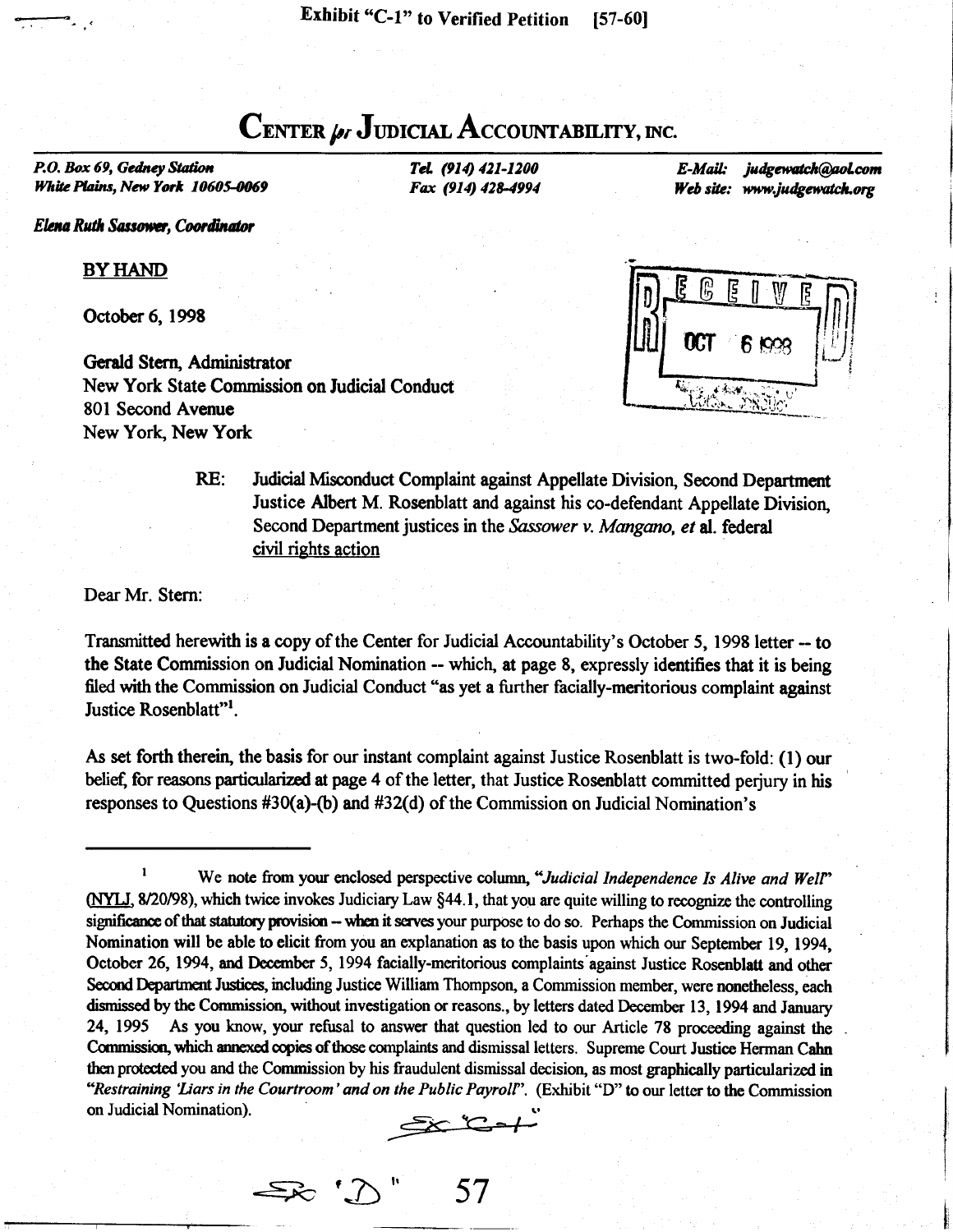## CENTER  $\mu$ , JUDICIAL ACCOUNTABILITY, INC.

P.O. Box 69, Gedney Station White Plains, New York 10605-0069

Elena Ruth Sassower, Coordinator

**BY HAND** 

October 6, 1998

Gerald Stern, Administrator New York State Commission on ludicial Conduct 801 Second Avenue New York, New York

Tel. (914) 421-1200 Fax (914) 428-4994

E-Mail: judgewatch@aol.com Web site: www.judgewatch.org

**DCT 6 1000** 

RE: Judicial Misconduct Complaint against Appellate Division, Second Department Justice Albert M. Rosenblatt and against his co-defendant Appellate Division. Second Department justices in the Sassower v. Mangano, et al. federal civil rights action

Dear Mr. Stern:

Transmitted herewith is a copy of the Center for Judicial Accountability's October 5, 1998 letter -- to the State Commission on Judicial Nomination -- which, at page 8, expressly identifies that it is being filed with the Commission on Judicial Conduct "as yet a further facially-meritorious complaint against Justice Rosenblatt"<sup>1</sup>.

As set forth therein, the basis for our instant complaint against Justice Rosenblatt is two-fold: (1) our belief, for reasons particularized at page 4 of the letter, that Justice Rosenblatt committed perjury in his responses to Questions #30(a)-(b) and #32(d) of the Commission on Judicial Nomination's

<sup>1</sup> We note from your enclosed perspective column, "Judicial Independence Is Alive and Well" (NYLJ, 8/20/98), which twice invokes Judiciary Law  $\S 44.1$ , that you are quite willing to recognize the controlling significance of that statutory provision -- when it serves your purpose to do so. Perhaps the Commission on Judicial Nomination will be able to elicit from you an explanation as to the basis upon which our September 19, 1994, October 26, 1994, and December 5, 1994 facially-meritorious complaints against Justice Rosenblatt and other Second Department Justices, including Justice William Thompson, a Commission member, were nonetheless, each dismissed by the Commission, without investigation or reasons., by letters dated December 13, 1994 and January 24, 1995 As you know, your refusal to answer that question led to our Article 78 proceeding against the Commission, which annexed copies of those complaints and dismissal letters. Supreme Court Justice Herman Cahn<br>then protected you and the Commission by his fraudulent dismissal decision, as most graphically particularized i "Restraining 'Liars in the Courtroom' and on the Public Payroll". (Exhibit "D" to our letter to the Commission on Judicial Nomination).

 $\geq$ 

 $\Rightarrow$  ' $\bigcirc$  " 57